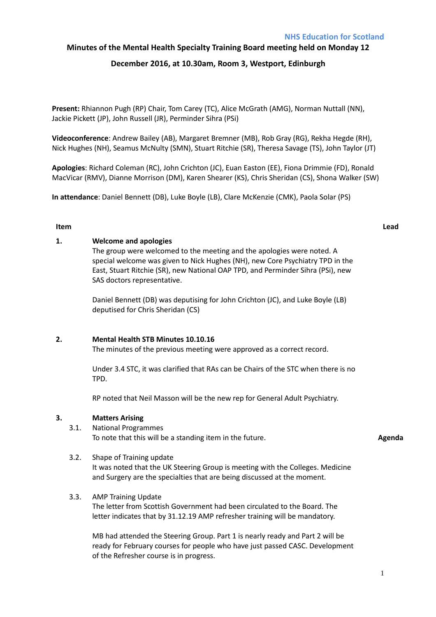# **Minutes of the Mental Health Specialty Training Board meeting held on Monday 12**

# **December 2016, at 10.30am, Room 3, Westport, Edinburgh**

**Present:** Rhiannon Pugh (RP) Chair, Tom Carey (TC), Alice McGrath (AMG), Norman Nuttall (NN), Jackie Pickett (JP), John Russell (JR), Perminder Sihra (PSi)

**Videoconference**: Andrew Bailey (AB), Margaret Bremner (MB), Rob Gray (RG), Rekha Hegde (RH), Nick Hughes (NH), Seamus McNulty (SMN), Stuart Ritchie (SR), Theresa Savage (TS), John Taylor (JT)

**Apologies**: Richard Coleman (RC), John Crichton (JC), Euan Easton (EE), Fiona Drimmie (FD), Ronald MacVicar (RMV), Dianne Morrison (DM), Karen Shearer (KS), Chris Sheridan (CS), Shona Walker (SW)

**In attendance**: Daniel Bennett (DB), Luke Boyle (LB), Clare McKenzie (CMK), Paola Solar (PS)

## **Item Lead**

#### **1. Welcome and apologies**

The group were welcomed to the meeting and the apologies were noted. A special welcome was given to Nick Hughes (NH), new Core Psychiatry TPD in the East, Stuart Ritchie (SR), new National OAP TPD, and Perminder Sihra (PSi), new SAS doctors representative.

Daniel Bennett (DB) was deputising for John Crichton (JC), and Luke Boyle (LB) deputised for Chris Sheridan (CS)

## **2. Mental Health STB Minutes 10.10.16**

The minutes of the previous meeting were approved as a correct record.

Under 3.4 STC, it was clarified that RAs can be Chairs of the STC when there is no TPD.

RP noted that Neil Masson will be the new rep for General Adult Psychiatry.

## **3. Matters Arising**

#### 3.1. National Programmes To note that this will be a standing item in the future. **Agent a** standing the many standard and **Agenda Agenda**

#### 3.2. Shape of Training update

It was noted that the UK Steering Group is meeting with the Colleges. Medicine and Surgery are the specialties that are being discussed at the moment.

#### 3.3. AMP Training Update

The letter from Scottish Government had been circulated to the Board. The letter indicates that by 31.12.19 AMP refresher training will be mandatory.

MB had attended the Steering Group. Part 1 is nearly ready and Part 2 will be ready for February courses for people who have just passed CASC. Development of the Refresher course is in progress.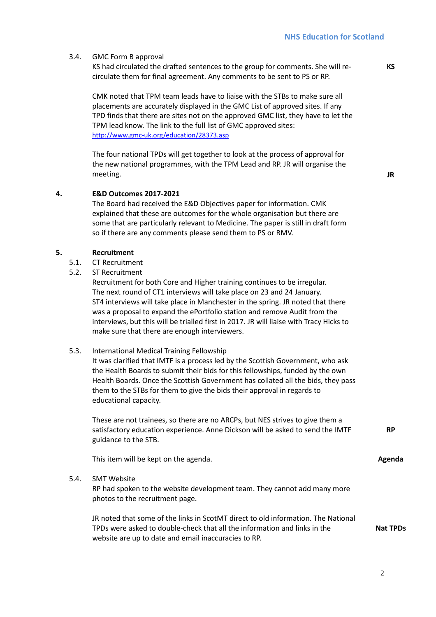#### 3.4. GMC Form B approval

KS had circulated the drafted sentences to the group for comments. She will recirculate them for final agreement. Any comments to be sent to PS or RP.

CMK noted that TPM team leads have to liaise with the STBs to make sure all placements are accurately displayed in the GMC List of approved sites. If any TPD finds that there are sites not on the approved GMC list, they have to let the TPM lead know. The link to the full list of GMC approved sites: http://www.gmc-uk.org/education/28373.asp

The four national TPDs will get together to look at the process of approval for the new national programmes, with the TPM Lead and RP. JR will organise the meeting.

**4. E&D Outcomes 2017-2021**

The Board had received the E&D Objectives paper for information. CMK explained that these are outcomes for the whole organisation but there are some that are particularly relevant to Medicine. The paper is still in draft form so if there are any comments please send them to PS or RMV.

#### **5. Recruitment**

- 5.1. CT Recruitment
- 5.2. ST Recruitment

Recruitment for both Core and Higher training continues to be irregular. The next round of CT1 interviews will take place on 23 and 24 January. ST4 interviews will take place in Manchester in the spring. JR noted that there was a proposal to expand the ePortfolio station and remove Audit from the interviews, but this will be trialled first in 2017. JR will liaise with Tracy Hicks to make sure that there are enough interviewers.

#### 5.3. International Medical Training Fellowship

It was clarified that IMTF is a process led by the Scottish Government, who ask the Health Boards to submit their bids for this fellowships, funded by the own Health Boards. Once the Scottish Government has collated all the bids, they pass them to the STBs for them to give the bids their approval in regards to educational capacity.

These are not trainees, so there are no ARCPs, but NES strives to give them a satisfactory education experience. Anne Dickson will be asked to send the IMTF guidance to the STB.

This item will be kept on the agenda.

#### 5.4. SMT Website

RP had spoken to the website development team. They cannot add many more photos to the recruitment page.

JR noted that some of the links in ScotMT direct to old information. The National TPDs were asked to double-check that all the information and links in the website are up to date and email inaccuracies to RP.

**JR** 

**KS**

**RP**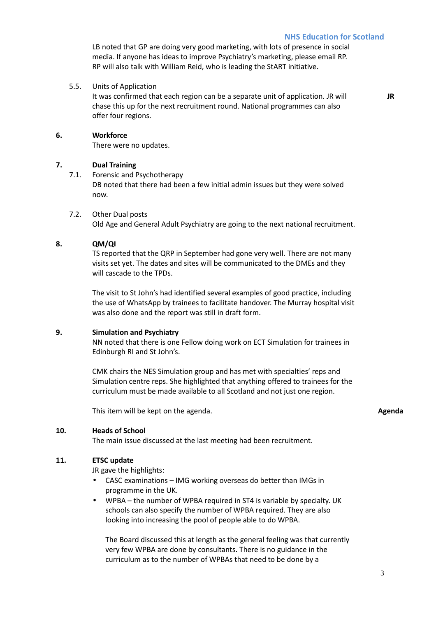LB noted that GP are doing very good marketing, with lots of presence in social media. If anyone has ideas to improve Psychiatry's marketing, please email RP. RP will also talk with William Reid, who is leading the StART initiative.

5.5. Units of Application

It was confirmed that each region can be a separate unit of application. JR will chase this up for the next recruitment round. National programmes can also offer four regions.

**JR** 

# **6. Workforce**

There were no updates.

## **7. Dual Training**

- 7.1. Forensic and Psychotherapy DB noted that there had been a few initial admin issues but they were solved now.
- 7.2. Other Dual posts

Old Age and General Adult Psychiatry are going to the next national recruitment.

# **8. QM/QI**

TS reported that the QRP in September had gone very well. There are not many visits set yet. The dates and sites will be communicated to the DMEs and they will cascade to the TPDs.

The visit to St John's had identified several examples of good practice, including the use of WhatsApp by trainees to facilitate handover. The Murray hospital visit was also done and the report was still in draft form.

## **9. Simulation and Psychiatry**

NN noted that there is one Fellow doing work on ECT Simulation for trainees in Edinburgh RI and St John's.

CMK chairs the NES Simulation group and has met with specialties' reps and Simulation centre reps. She highlighted that anything offered to trainees for the curriculum must be made available to all Scotland and not just one region.

This item will be kept on the agenda. **Agenda** 

# **10. Heads of School**

The main issue discussed at the last meeting had been recruitment.

## **11. ETSC update**

JR gave the highlights:

- CASC examinations IMG working overseas do better than IMGs in programme in the UK.
- WPBA the number of WPBA required in ST4 is variable by specialty. UK schools can also specify the number of WPBA required. They are also looking into increasing the pool of people able to do WPBA.

The Board discussed this at length as the general feeling was that currently very few WPBA are done by consultants. There is no guidance in the curriculum as to the number of WPBAs that need to be done by a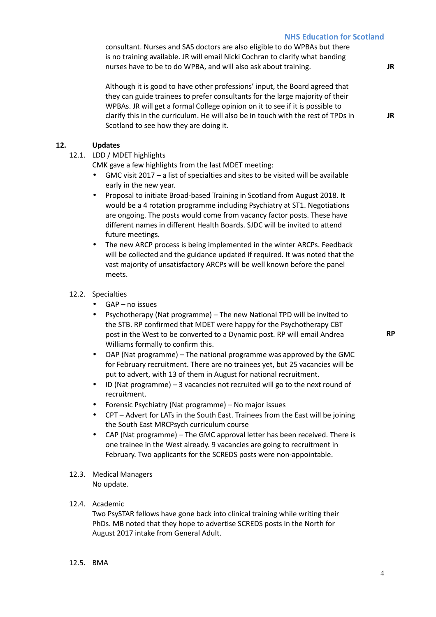# **NHS Education for Scotland**

consultant. Nurses and SAS doctors are also eligible to do WPBAs but there is no training available. JR will email Nicki Cochran to clarify what banding nurses have to be to do WPBA, and will also ask about training.

Although it is good to have other professions' input, the Board agreed that they can guide trainees to prefer consultants for the large majority of their WPBAs. JR will get a formal College opinion on it to see if it is possible to clarify this in the curriculum. He will also be in touch with the rest of TPDs in Scotland to see how they are doing it.

**12. Updates**

12.1. LDD / MDET highlights

CMK gave a few highlights from the last MDET meeting:

- GMC visit 2017 a list of specialties and sites to be visited will be available early in the new year.
- Proposal to initiate Broad-based Training in Scotland from August 2018. It would be a 4 rotation programme including Psychiatry at ST1. Negotiations are ongoing. The posts would come from vacancy factor posts. These have different names in different Health Boards. SJDC will be invited to attend future meetings.
- The new ARCP process is being implemented in the winter ARCPs. Feedback will be collected and the guidance updated if required. It was noted that the vast majority of unsatisfactory ARCPs will be well known before the panel meets.
- 12.2. Specialties
	- GAP no issues
	- Psychotherapy (Nat programme) The new National TPD will be invited to the STB. RP confirmed that MDET were happy for the Psychotherapy CBT post in the West to be converted to a Dynamic post. RP will email Andrea Williams formally to confirm this.
	- OAP (Nat programme) The national programme was approved by the GMC for February recruitment. There are no trainees yet, but 25 vacancies will be put to advert, with 13 of them in August for national recruitment.
	- ID (Nat programme) 3 vacancies not recruited will go to the next round of recruitment.
	- Forensic Psychiatry (Nat programme) No major issues
	- CPT Advert for LATs in the South East. Trainees from the East will be joining the South East MRCPsych curriculum course
	- CAP (Nat programme) The GMC approval letter has been received. There is one trainee in the West already. 9 vacancies are going to recruitment in February. Two applicants for the SCREDS posts were non-appointable.
- 12.3. Medical Managers No update.

#### 12.4. Academic

Two PsySTAR fellows have gone back into clinical training while writing their PhDs. MB noted that they hope to advertise SCREDS posts in the North for August 2017 intake from General Adult.

12.5. BMA

**RP** 

**JR** 

**JR**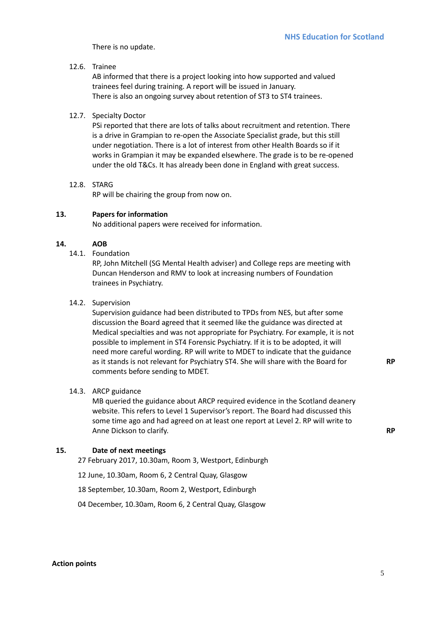There is no update.

# 12.6. Trainee

AB informed that there is a project looking into how supported and valued trainees feel during training. A report will be issued in January. There is also an ongoing survey about retention of ST3 to ST4 trainees.

# 12.7. Specialty Doctor

PSi reported that there are lots of talks about recruitment and retention. There is a drive in Grampian to re-open the Associate Specialist grade, but this still under negotiation. There is a lot of interest from other Health Boards so if it works in Grampian it may be expanded elsewhere. The grade is to be re-opened under the old T&Cs. It has already been done in England with great success.

# 12.8. STARG

RP will be chairing the group from now on.

## **13. Papers for information**

No additional papers were received for information.

## **14. AOB**

14.1. Foundation

RP, John Mitchell (SG Mental Health adviser) and College reps are meeting with Duncan Henderson and RMV to look at increasing numbers of Foundation trainees in Psychiatry.

#### 14.2. Supervision

Supervision guidance had been distributed to TPDs from NES, but after some discussion the Board agreed that it seemed like the guidance was directed at Medical specialties and was not appropriate for Psychiatry. For example, it is not possible to implement in ST4 Forensic Psychiatry. If it is to be adopted, it will need more careful wording. RP will write to MDET to indicate that the guidance as it stands is not relevant for Psychiatry ST4. She will share with the Board for comments before sending to MDET.

## 14.3. ARCP guidance

MB queried the guidance about ARCP required evidence in the Scotland deanery website. This refers to Level 1 Supervisor's report. The Board had discussed this some time ago and had agreed on at least one report at Level 2. RP will write to Anne Dickson to clarify. **RP** 

## **15. Date of next meetings**

27 February 2017, 10.30am, Room 3, Westport, Edinburgh

12 June, 10.30am, Room 6, 2 Central Quay, Glasgow

18 September, 10.30am, Room 2, Westport, Edinburgh

04 December, 10.30am, Room 6, 2 Central Quay, Glasgow

**RP**